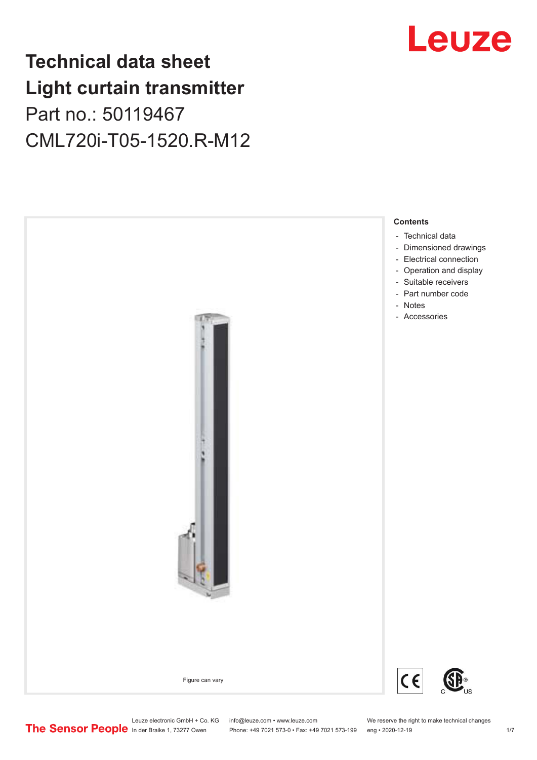## **Technical data sheet Light curtain transmitter** Part no.: 50119467 CML720i-T05-1520.R-M12





Phone: +49 7021 573-0 • Fax: +49 7021 573-199 eng • 2020-12-19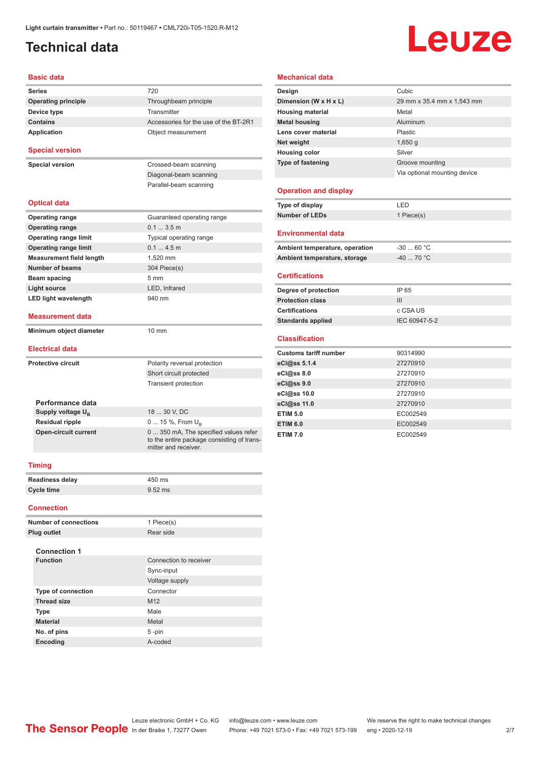## <span id="page-1-0"></span>**Technical data**

# Leuze

#### **Basic data**

| <b>Series</b>                   | 720                                                                                                         |  |  |  |
|---------------------------------|-------------------------------------------------------------------------------------------------------------|--|--|--|
| <b>Operating principle</b>      | Throughbeam principle                                                                                       |  |  |  |
| Device type                     | Transmitter                                                                                                 |  |  |  |
| <b>Contains</b>                 | Accessories for the use of the BT-2R1                                                                       |  |  |  |
| <b>Application</b>              | Object measurement                                                                                          |  |  |  |
| <b>Special version</b>          |                                                                                                             |  |  |  |
| <b>Special version</b>          | Crossed-beam scanning                                                                                       |  |  |  |
|                                 | Diagonal-beam scanning                                                                                      |  |  |  |
|                                 | Parallel-beam scanning                                                                                      |  |  |  |
| <b>Optical data</b>             |                                                                                                             |  |  |  |
| <b>Operating range</b>          | Guaranteed operating range                                                                                  |  |  |  |
| <b>Operating range</b>          | 0.13.5m                                                                                                     |  |  |  |
| <b>Operating range limit</b>    | Typical operating range                                                                                     |  |  |  |
| <b>Operating range limit</b>    | 0.14.5m                                                                                                     |  |  |  |
| <b>Measurement field length</b> | 1,520 mm                                                                                                    |  |  |  |
| <b>Number of beams</b>          | 304 Piece(s)                                                                                                |  |  |  |
| Beam spacing                    | 5 <sub>mm</sub>                                                                                             |  |  |  |
| <b>Light source</b>             | LED, Infrared                                                                                               |  |  |  |
| <b>LED light wavelength</b>     | 940 nm                                                                                                      |  |  |  |
| <b>Measurement data</b>         |                                                                                                             |  |  |  |
| Minimum object diameter         | $10 \text{ mm}$                                                                                             |  |  |  |
| <b>Electrical data</b>          |                                                                                                             |  |  |  |
| <b>Protective circuit</b>       | Polarity reversal protection                                                                                |  |  |  |
|                                 | Short circuit protected                                                                                     |  |  |  |
|                                 | <b>Transient protection</b>                                                                                 |  |  |  |
| Performance data                |                                                                                                             |  |  |  |
| Supply voltage U <sub>B</sub>   | 18  30 V, DC                                                                                                |  |  |  |
| Residual ripple                 | 0  15 %, From U <sub>B</sub>                                                                                |  |  |  |
| <b>Open-circuit current</b>     | 0  350 mA, The specified values refer<br>to the entire package consisting of trans-<br>mitter and receiver. |  |  |  |
| <b>Timing</b>                   |                                                                                                             |  |  |  |
| <b>Readiness delay</b>          | 450 ms                                                                                                      |  |  |  |
| <b>Cycle time</b>               | 9.52 ms                                                                                                     |  |  |  |
| <b>Connection</b>               |                                                                                                             |  |  |  |

| <b>Number of connections</b> | 1 Piece(s)             |
|------------------------------|------------------------|
| <b>Plug outlet</b>           | Rear side              |
| <b>Connection 1</b>          |                        |
| <b>Function</b>              | Connection to receiver |
|                              | Sync-input             |
|                              | Voltage supply         |
| <b>Type of connection</b>    | Connector              |
| <b>Thread size</b>           | M <sub>12</sub>        |
| <b>Type</b>                  | Male                   |
| <b>Material</b>              | Metal                  |
| No. of pins                  | $5 - pin$              |
| <b>Encoding</b>              | A-coded                |
|                              |                        |

### **Mechanical data**

| Design                       | Cubic                        |
|------------------------------|------------------------------|
| Dimension (W x H x L)        | 29 mm x 35.4 mm x 1,543 mm   |
| <b>Housing material</b>      | Metal                        |
| <b>Metal housing</b>         | Aluminum                     |
| Lens cover material          | Plastic                      |
| Net weight                   | 1,650q                       |
| <b>Housing color</b>         | Silver                       |
| <b>Type of fastening</b>     | Groove mounting              |
|                              | Via optional mounting device |
| <b>Operation and display</b> |                              |
| Type of display              | LED                          |
| <b>Number of LEDs</b>        | 1 Piece(s)                   |
| <b>Environmental data</b>    |                              |

| Ambient temperature, operation | -30  60 °C |
|--------------------------------|------------|
| Ambient temperature, storage   | -40  70 °C |

#### **Certifications**

| IP 65         |
|---------------|
| Ш             |
| c CSA US      |
| IEC 60947-5-2 |
|               |

#### **Classification**

| <b>Customs tariff number</b> | 90314990 |
|------------------------------|----------|
| eCl@ss 5.1.4                 | 27270910 |
| eCl@ss 8.0                   | 27270910 |
| eCl@ss 9.0                   | 27270910 |
| eCl@ss 10.0                  | 27270910 |
| eCl@ss 11.0                  | 27270910 |
| <b>ETIM 5.0</b>              | EC002549 |
| <b>ETIM 6.0</b>              | EC002549 |
| <b>ETIM 7.0</b>              | EC002549 |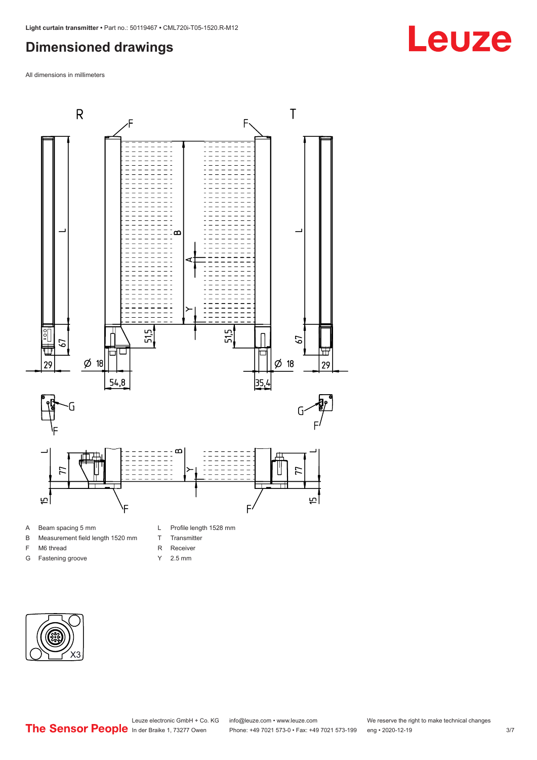### <span id="page-2-0"></span>**Dimensioned drawings**

All dimensions in millimeters



- A Beam spacing 5 mm
- B Measurement field length 1520 mm
- F M6 thread
- G Fastening groove
- L Profile length 1528 mm
- T Transmitter
- R Receiver
- Y 2.5 mm



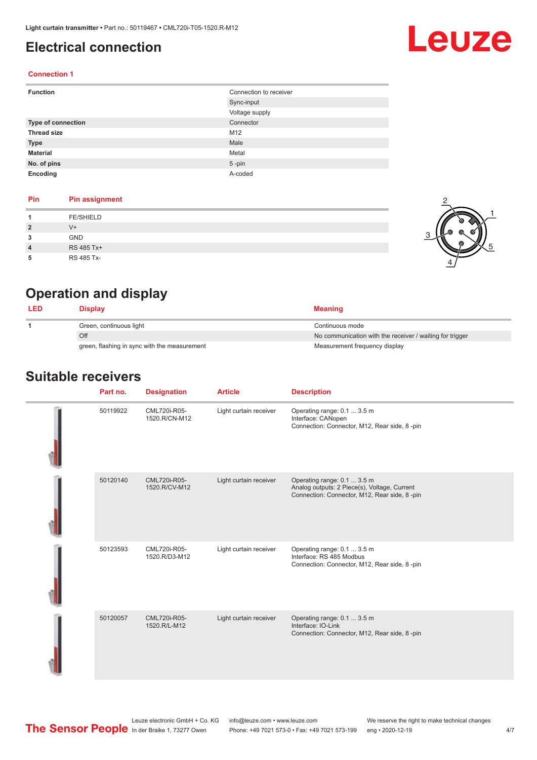## <span id="page-3-0"></span>**Electrical connection**

# Leuze

2

1

5

### **Connection 1**

| <b>Function</b>           | Connection to receiver |
|---------------------------|------------------------|
|                           | Sync-input             |
|                           | Voltage supply         |
| <b>Type of connection</b> | Connector              |
| <b>Thread size</b>        | M12                    |
| <b>Type</b>               | Male                   |
| <b>Material</b>           | Metal                  |
| No. of pins               | $5$ -pin               |
| Encoding                  | A-coded                |

### **Pin Pin assignment**

|                | <b>FE/SHIELD</b> |   |
|----------------|------------------|---|
| $\overline{2}$ | $V +$            | G |
| 3              | GND              |   |
| $\overline{4}$ | RS 485 Tx+       |   |
| 5              | RS 485 Tx-       |   |

## **Operation and display**

| <b>LED</b> | Display                                      | <b>Meaning</b>                                           |
|------------|----------------------------------------------|----------------------------------------------------------|
|            | Green, continuous light                      | Continuous mode                                          |
|            | Off                                          | No communication with the receiver / waiting for trigger |
|            | green, flashing in sync with the measurement | Measurement frequency display                            |

### **Suitable receivers**

| Part no. | <b>Designation</b>            | <b>Article</b>         | <b>Description</b>                                                                                                          |
|----------|-------------------------------|------------------------|-----------------------------------------------------------------------------------------------------------------------------|
| 50119922 | CML720i-R05-<br>1520.R/CN-M12 | Light curtain receiver | Operating range: 0.1  3.5 m<br>Interface: CANopen<br>Connection: Connector, M12, Rear side, 8-pin                           |
| 50120140 | CML720i-R05-<br>1520.R/CV-M12 | Light curtain receiver | Operating range: 0.1  3.5 m<br>Analog outputs: 2 Piece(s), Voltage, Current<br>Connection: Connector, M12, Rear side, 8-pin |
| 50123593 | CML720i-R05-<br>1520.R/D3-M12 | Light curtain receiver | Operating range: 0.1  3.5 m<br>Interface: RS 485 Modbus<br>Connection: Connector, M12, Rear side, 8-pin                     |
| 50120057 | CML720i-R05-<br>1520.R/L-M12  | Light curtain receiver | Operating range: 0.1  3.5 m<br>Interface: IO-Link<br>Connection: Connector, M12, Rear side, 8-pin                           |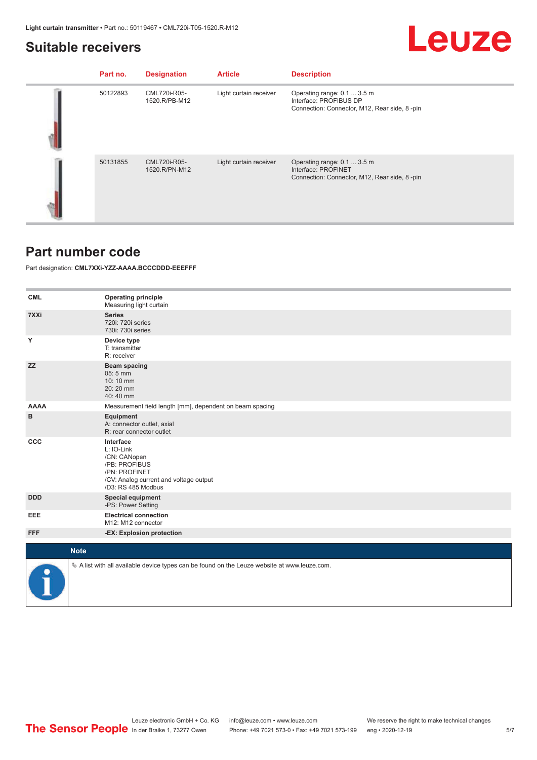### <span id="page-4-0"></span>**Suitable receivers**

## Leuze

| Part no. | <b>Designation</b>            | <b>Article</b>         | <b>Description</b>                                                                                    |
|----------|-------------------------------|------------------------|-------------------------------------------------------------------------------------------------------|
| 50122893 | CML720i-R05-<br>1520.R/PB-M12 | Light curtain receiver | Operating range: 0.1  3.5 m<br>Interface: PROFIBUS DP<br>Connection: Connector, M12, Rear side, 8-pin |
| 50131855 | CML720i-R05-<br>1520.R/PN-M12 | Light curtain receiver | Operating range: 0.1  3.5 m<br>Interface: PROFINET<br>Connection: Connector, M12, Rear side, 8-pin    |

### **Part number code**

Part designation: **CML7XXi-YZZ-AAAA.BCCCDDD-EEEFFF**

| <b>CML</b>  | <b>Operating principle</b><br>Measuring light curtain                                                                                     |
|-------------|-------------------------------------------------------------------------------------------------------------------------------------------|
| 7XXi        | <b>Series</b><br>720i: 720i series<br>730i: 730i series                                                                                   |
| Υ           | Device type<br>T: transmitter<br>R: receiver                                                                                              |
| <b>ZZ</b>   | Beam spacing<br>$05:5$ mm<br>10:10 mm<br>20:20 mm<br>40:40 mm                                                                             |
| <b>AAAA</b> | Measurement field length [mm], dependent on beam spacing                                                                                  |
| в           | Equipment<br>A: connector outlet, axial<br>R: rear connector outlet                                                                       |
| <b>CCC</b>  | Interface<br>L: IO-Link<br>/CN: CANopen<br>/PB: PROFIBUS<br>/PN: PROFINET<br>/CV: Analog current and voltage output<br>/D3: RS 485 Modbus |
| <b>DDD</b>  | <b>Special equipment</b><br>-PS: Power Setting                                                                                            |
| EEE         | <b>Electrical connection</b><br>M12: M12 connector                                                                                        |
| <b>FFF</b>  | -EX: Explosion protection                                                                                                                 |
| <b>Note</b> |                                                                                                                                           |
|             |                                                                                                                                           |
|             | $\&$ A list with all available device types can be found on the Leuze website at www.leuze.com.                                           |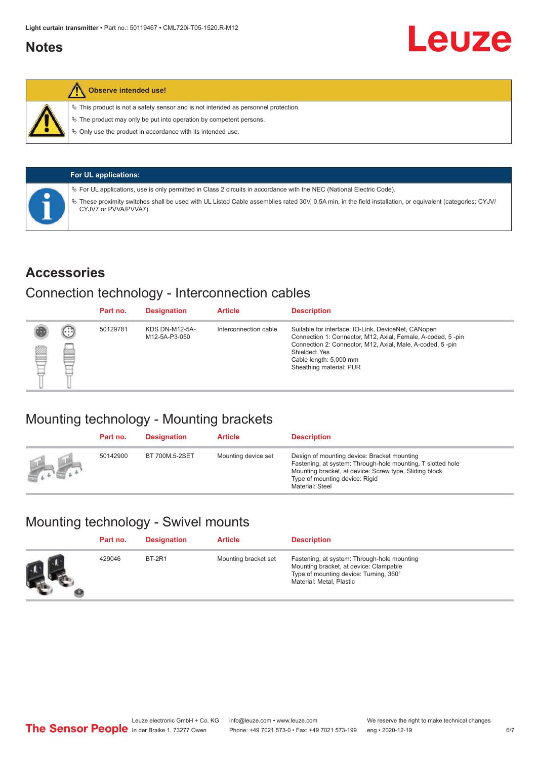### <span id="page-5-0"></span>**Notes**



### **Observe intended use!**

 $\%$  This product is not a safety sensor and is not intended as personnel protection.

 $\%$  The product may only be put into operation by competent persons.

 $\%$  Only use the product in accordance with its intended use.

|  | <b>For UL applications:</b>                                                                                                                                                     |
|--|---------------------------------------------------------------------------------------------------------------------------------------------------------------------------------|
|  | $\%$ For UL applications, use is only permitted in Class 2 circuits in accordance with the NEC (National Electric Code).                                                        |
|  | These proximity switches shall be used with UL Listed Cable assemblies rated 30V, 0.5A min, in the field installation, or equivalent (categories: CYJV/<br>CYJV7 or PVVA/PVVA7) |

### **Accessories**

### Connection technology - Interconnection cables

|   |        | Part no. | <b>Designation</b>                     | <b>Article</b>        | <b>Description</b>                                                                                                                                                                                                                                    |
|---|--------|----------|----------------------------------------|-----------------------|-------------------------------------------------------------------------------------------------------------------------------------------------------------------------------------------------------------------------------------------------------|
| Ø | ⊙<br>œ | 50129781 | <b>KDS DN-M12-5A-</b><br>M12-5A-P3-050 | Interconnection cable | Suitable for interface: IO-Link, DeviceNet, CANopen<br>Connection 1: Connector, M12, Axial, Female, A-coded, 5-pin<br>Connection 2: Connector, M12, Axial, Male, A-coded, 5-pin<br>Shielded: Yes<br>Cable length: 5,000 mm<br>Sheathing material: PUR |

## Mounting technology - Mounting brackets

|               | Part no. | <b>Designation</b> | <b>Article</b>      | <b>Description</b>                                                                                                                                                                                                        |
|---------------|----------|--------------------|---------------------|---------------------------------------------------------------------------------------------------------------------------------------------------------------------------------------------------------------------------|
| <b>Altres</b> | 50142900 | BT 700M.5-2SET     | Mounting device set | Design of mounting device: Bracket mounting<br>Fastening, at system: Through-hole mounting, T slotted hole<br>Mounting bracket, at device: Screw type, Sliding block<br>Type of mounting device: Rigid<br>Material: Steel |

## Mounting technology - Swivel mounts

| Part no. | <b>Designation</b> | <b>Article</b>       | <b>Description</b>                                                                                                                                          |
|----------|--------------------|----------------------|-------------------------------------------------------------------------------------------------------------------------------------------------------------|
| 429046   | <b>BT-2R1</b>      | Mounting bracket set | Fastening, at system: Through-hole mounting<br>Mounting bracket, at device: Clampable<br>Type of mounting device: Turning, 360°<br>Material: Metal, Plastic |

Leuze